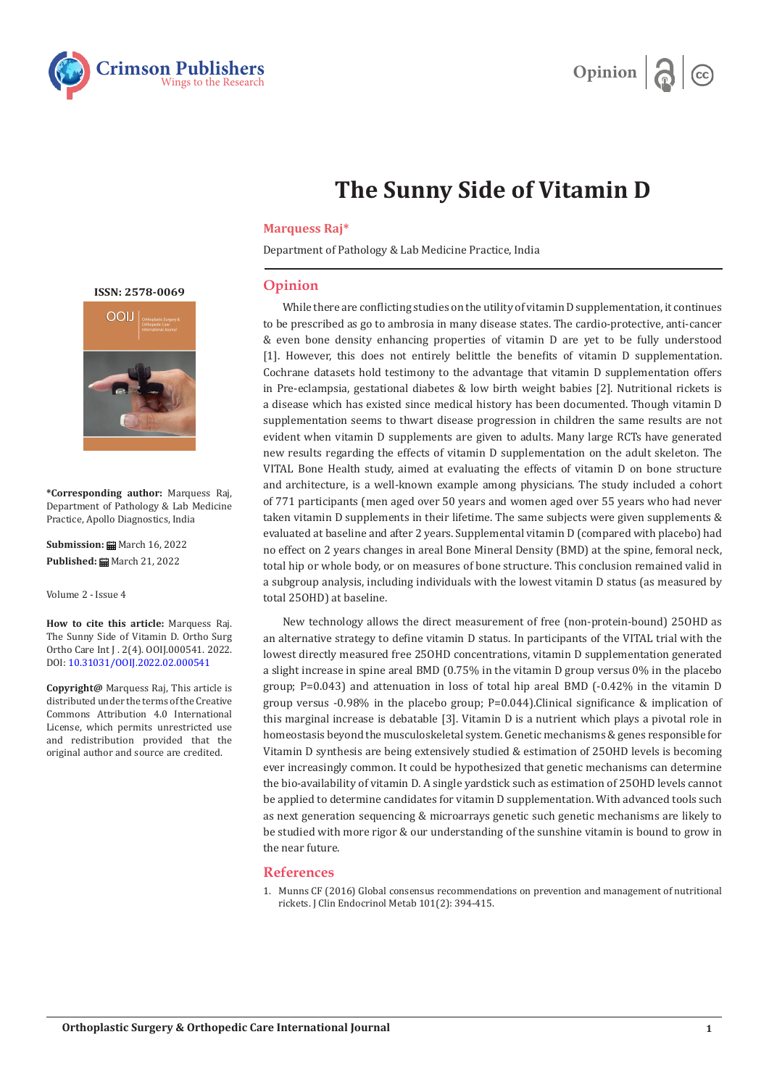



## **The Sunny Side of Vitamin D**

## **Marquess Raj\***

Department of Pathology & Lab Medicine Practice, India

## **Opinion**

While there are conflicting studies on the utility of vitamin D supplementation, it continues to be prescribed as go to ambrosia in many disease states. The cardio-protective, anti-cancer & even bone density enhancing properties of vitamin D are yet to be fully understood [1]. However, this does not entirely belittle the benefits of vitamin D supplementation. Cochrane datasets hold testimony to the advantage that vitamin D supplementation offers in Pre-eclampsia, gestational diabetes & low birth weight babies [2]. Nutritional rickets is a disease which has existed since medical history has been documented. Though vitamin D supplementation seems to thwart disease progression in children the same results are not evident when vitamin D supplements are given to adults. Many large RCTs have generated new results regarding the effects of vitamin D supplementation on the adult skeleton. The VITAL Bone Health study, aimed at evaluating the effects of vitamin D on bone structure and architecture, is a well-known example among physicians. The study included a cohort of 771 participants (men aged over 50 years and women aged over 55 years who had never taken vitamin D supplements in their lifetime. The same subjects were given supplements & evaluated at baseline and after 2 years. Supplemental vitamin D (compared with placebo) had no effect on 2 years changes in areal Bone Mineral Density (BMD) at the spine, femoral neck, total hip or whole body, or on measures of bone structure. This conclusion remained valid in a subgroup analysis, including individuals with the lowest vitamin D status (as measured by total 25OHD) at baseline.

New technology allows the direct measurement of free (non-protein-bound) 25OHD as an alternative strategy to define vitamin D status. In participants of the VITAL trial with the lowest directly measured free 25OHD concentrations, vitamin D supplementation generated a slight increase in spine areal BMD (0.75% in the vitamin D group versus 0% in the placebo group; P=0.043) and attenuation in loss of total hip areal BMD (-0.42% in the vitamin D group versus -0.98% in the placebo group; P=0.044).Clinical significance & implication of this marginal increase is debatable [3]. Vitamin D is a nutrient which plays a pivotal role in homeostasis beyond the musculoskeletal system. Genetic mechanisms & genes responsible for Vitamin D synthesis are being extensively studied & estimation of 25OHD levels is becoming ever increasingly common. It could be hypothesized that genetic mechanisms can determine the bio-availability of vitamin D. A single yardstick such as estimation of 25OHD levels cannot be applied to determine candidates for vitamin D supplementation. With advanced tools such as next generation sequencing & microarrays genetic such genetic mechanisms are likely to be studied with more rigor & our understanding of the sunshine vitamin is bound to grow in the near future.

## **References**

1. [Munns CF \(2016\) Global consensus recommendations on prevention and management of nutritional](https://www.ncbi.nlm.nih.gov/pmc/articles/PMC4880117/) [rickets. J Clin Endocrinol Metab 101\(2\): 394-415.](https://www.ncbi.nlm.nih.gov/pmc/articles/PMC4880117/)

**ISSN: 2578-0069**



**\*Corresponding author:** Marquess Raj, Department of Pathology & Lab Medicine Practice, Apollo Diagnostics, India

**Submission: m** March 16, 2022 **Published:** March 21, 2022

Volume 2 - Issue 4

**How to cite this article:** Marquess Raj. The Sunny Side of Vitamin D. Ortho Surg Ortho Care Int J . 2(4). OOIJ.000541. 2022. DOI: [10.31031/OOIJ.2022.02.000541](http://dx.doi.org/10.31031/ooij.2022.02.000541)

**Copyright@** Marquess Raj, This article is distributed under the terms of the Creative Commons Attribution 4.0 International License, which permits unrestricted use and redistribution provided that the original author and source are credited.